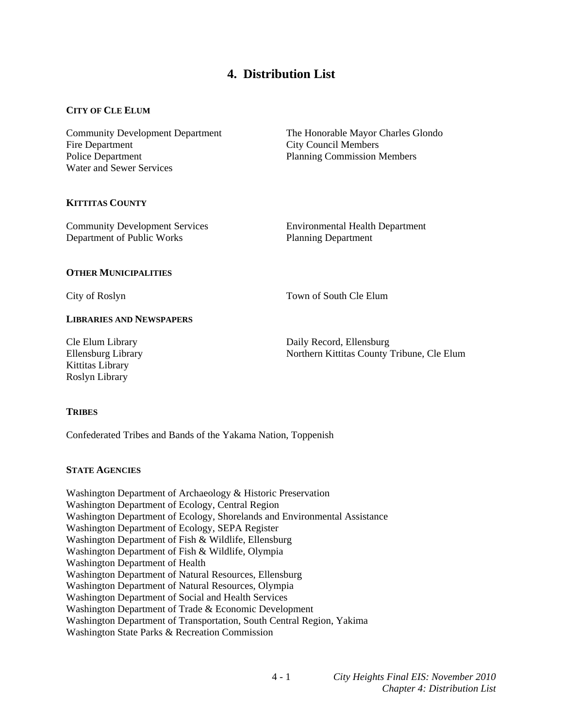# **4. Distribution List**

# **CITY OF CLE ELUM**

Fire Department City Council Members Police Department Planning Commission Members Water and Sewer Services

Community Development Department The Honorable Mayor Charles Glondo

# **KITTITAS COUNTY**

Community Development Services Environmental Health Department Department of Public Works Planning Department

# **OTHER MUNICIPALITIES**

City of Roslyn Town of South Cle Elum

# **LIBRARIES AND NEWSPAPERS**

Kittitas Library Roslyn Library

Cle Elum Library Daily Record, Ellensburg Ellensburg Library Northern Kittitas County Tribune, Cle Elum

# **TRIBES**

Confederated Tribes and Bands of the Yakama Nation, Toppenish

# **STATE AGENCIES**

Washington Department of Archaeology & Historic Preservation Washington Department of Ecology, Central Region Washington Department of Ecology, Shorelands and Environmental Assistance Washington Department of Ecology, SEPA Register Washington Department of Fish & Wildlife, Ellensburg Washington Department of Fish & Wildlife, Olympia Washington Department of Health Washington Department of Natural Resources, Ellensburg Washington Department of Natural Resources, Olympia Washington Department of Social and Health Services Washington Department of Trade & Economic Development Washington Department of Transportation, South Central Region, Yakima Washington State Parks & Recreation Commission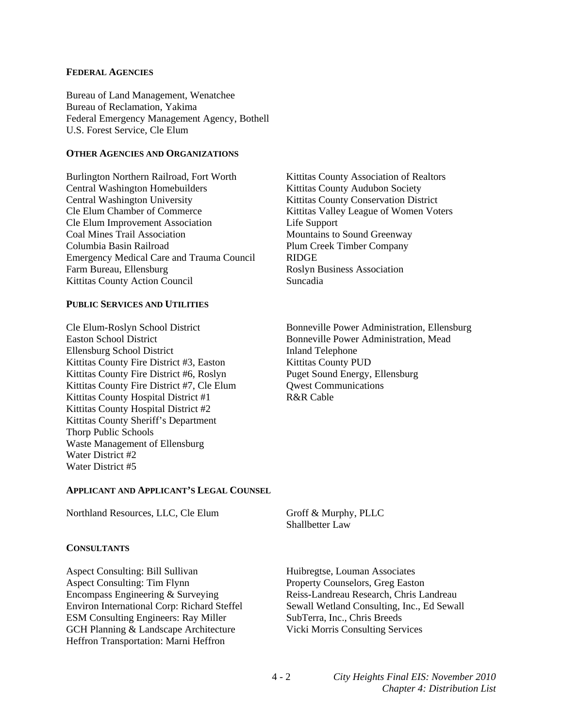#### **FEDERAL AGENCIES**

Bureau of Land Management, Wenatchee Bureau of Reclamation, Yakima Federal Emergency Management Agency, Bothell U.S. Forest Service, Cle Elum

#### **OTHER AGENCIES AND ORGANIZATIONS**

Burlington Northern Railroad, Fort Worth Kittitas County Association of Realtors Central Washington Homebuilders **Kittitas County Audubon Society** Central Washington University Kittitas County Conservation District Cle Elum Chamber of Commerce Kittitas Valley League of Women Voters Cle Elum Improvement Association Life Support Coal Mines Trail Association **Mountains to Sound Greenway** Columbia Basin Railroad Plum Creek Timber Company Emergency Medical Care and Trauma Council RIDGE Farm Bureau, Ellensburg **Roslyn Business Association** Kittitas County Action Council Suncadia

### **PUBLIC SERVICES AND UTILITIES**

Ellensburg School District Inland Telephone Kittitas County Fire District #3, Easton Kittitas County PUD Kittitas County Fire District #6, Roslyn Puget Sound Energy, Ellensburg Kittitas County Fire District #7, Cle Elum Owest Communications Kittitas County Hospital District #1 R&R Cable Kittitas County Hospital District #2 Kittitas County Sheriff's Department Thorp Public Schools Waste Management of Ellensburg Water District #2 Water District #5

Cle Elum-Roslyn School District Bonneville Power Administration, Ellensburg Bonneville Power Administration, Mead

#### **APPLICANT AND APPLICANT'S LEGAL COUNSEL**

Northland Resources, LLC, Cle Elum Groff & Murphy, PLLC

#### **CONSULTANTS**

Aspect Consulting: Bill Sullivan Huibregtse, Louman Associates Aspect Consulting: Tim Flynn Property Counselors, Greg Easton Encompass Engineering & Surveying Reiss-Landreau Research, Chris Landreau Environ International Corp: Richard Steffel Sewall Wetland Consulting, Inc., Ed Sewall ESM Consulting Engineers: Ray Miller SubTerra, Inc., Chris Breeds GCH Planning & Landscape Architecture Vicki Morris Consulting Services Heffron Transportation: Marni Heffron

Shallbetter Law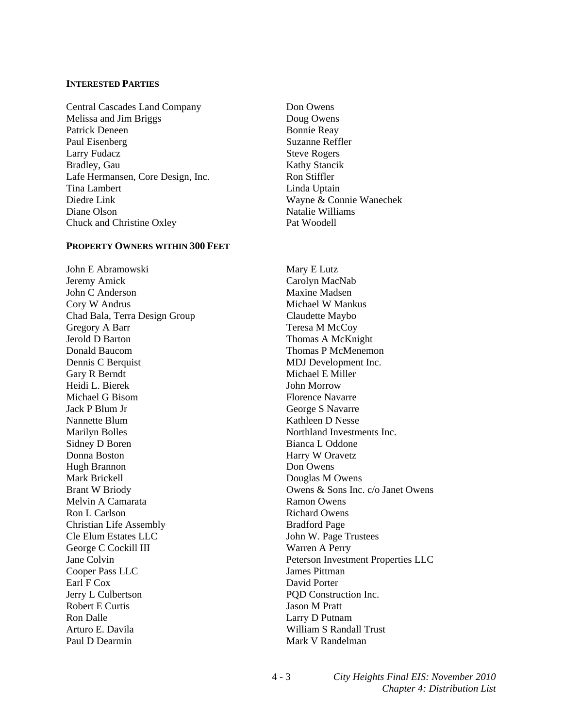#### **INTERESTED PARTIES**

Central Cascades Land Company Don Owens Melissa and Jim Briggs Doug Owens Patrick Deneen Bonnie Reay Paul Eisenberg Suzanne Reffler Larry Fudacz Steve Rogers Bradley, Gau Kathy Stancik Lafe Hermansen, Core Design, Inc. Ron Stiffler Tina Lambert Linda Uptain Diedre Link Wayne & Connie Wanechek Diane Olson Natalie Williams Chuck and Christine Oxley Pat Woodell

#### **PROPERTY OWNERS WITHIN 300 FEET**

John E Abramowski Mary E Lutz Jeremy Amick Carolyn MacNab John C Anderson Maxine Madsen Cory W Andrus Michael W Mankus Chad Bala, Terra Design Group Claudette Maybo Gregory A Barr Teresa M McCoy<br>Jerold D Barton Thomas A McKni Donald Baucom Thomas P McMenemon Dennis C Berquist MDJ Development Inc. Gary R Berndt Michael E Miller Heidi L. Bierek John Morrow Michael G Bisom Florence Navarre Jack P Blum Jr George S Navarre Nannette Blum Kathleen D Nesse Marilyn Bolles Northland Investments Inc. Sidney D Boren Bianca L Oddone Donna Boston Harry W Oravetz Hugh Brannon Don Owens Mark Brickell Douglas M Owens Melvin A Camarata Ramon Owens Ron L Carlson Richard Owens Christian Life Assembly Bradford Page Cle Elum Estates LLC<br>
John W. Page Trustees George C Cockill III Warren A Perry Cooper Pass LLC James Pittman Earl F Cox David Porter Jerry L Culbertson PQD Construction Inc. Robert E Curtis Jason M Pratt Ron Dalle Larry D Putnam Arturo E. Davila **William S Randall Trust** Paul D Dearmin Mark V Randelman

Thomas A McKnight Brant W Briody **Owens & Sons Inc. c/o Janet Owens** Jane Colvin Peterson Investment Properties LLC